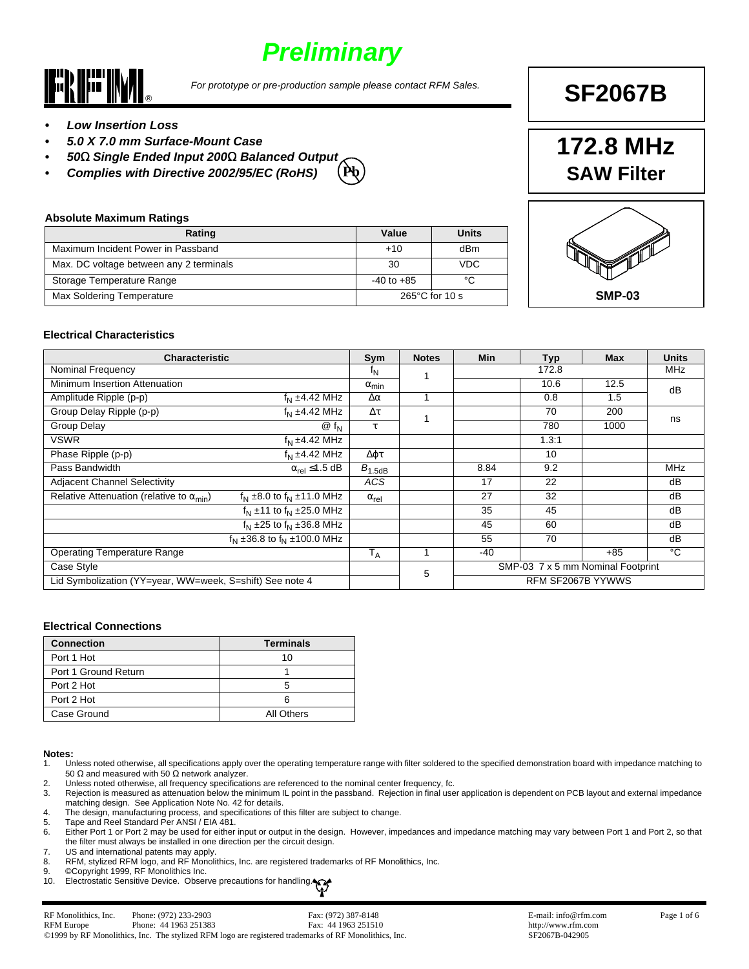# *Preliminary*



*For prototype or pre-production sample please contact RFM Sales.*

# **SF2067B**

- *• Low Insertion Loss*
- *• 5.0 X 7.0 mm Surface-Mount Case*
- *• 50*Ω *Single Ended Input 200*Ω *Balanced Output*
- *• Complies with Directive 2002/95/EC (RoHS)* **Pb**

#### **Absolute Maximum Ratings**

| Rating                                  | Value                    | Units |
|-----------------------------------------|--------------------------|-------|
| Maximum Incident Power in Passband      | $+10$                    | dBm   |
| Max. DC voltage between any 2 terminals | 30                       | VDC   |
| Storage Temperature Range               | $-40$ to $+85$           | °C    |
| <b>Max Soldering Temperature</b>        | $265^{\circ}$ C for 10 s |       |
|                                         |                          |       |





#### **Electrical Characteristics**

| <b>Characteristic</b>                                    |                                           | Sym             | <b>Notes</b> | Min                               | <b>Typ</b>        | <b>Max</b> | <b>Units</b>   |
|----------------------------------------------------------|-------------------------------------------|-----------------|--------------|-----------------------------------|-------------------|------------|----------------|
| <b>Nominal Frequency</b>                                 |                                           |                 |              |                                   | 172.8             |            | <b>MHz</b>     |
| Minimum Insertion Attenuation                            |                                           | $\alpha_{\min}$ |              |                                   | 10.6              | 12.5       | dB             |
| Amplitude Ripple (p-p)                                   | $fN \pm 4.42$ MHz                         | $\Delta \alpha$ |              |                                   | 0.8               | 1.5        |                |
| Group Delay Ripple (p-p)                                 | $fN \pm 4.42$ MHz                         | $\Delta \tau$   |              |                                   | 70                | 200        | ns             |
| <b>Group Delay</b>                                       | $@f_{N}$                                  | τ               |              |                                   | 780               | 1000       |                |
| <b>VSWR</b>                                              | $fN \pm 4.42$ MHz                         |                 |              |                                   | 1.3:1             |            |                |
| Phase Ripple (p-p)                                       | $f_{\rm N}$ ±4.42 MHz                     | Δφτ             |              |                                   | 10                |            |                |
| Pass Bandwidth                                           | $\alpha_{\text{rel}} \leq 1.5 \text{ dB}$ | $B_{1.5dB}$     |              | 8.84                              | 9.2               |            | <b>MHz</b>     |
| <b>Adjacent Channel Selectivity</b>                      |                                           | ACS             |              | 17                                | 22                |            | dB             |
| Relative Attenuation (relative to $\alpha_{\rm min}$ )   | $f_{N}$ ±8.0 to $f_{N}$ ±11.0 MHz         | $\alpha_{rel}$  |              | 27                                | 32                |            | dB             |
|                                                          | $f_N \pm 11$ to $f_N \pm 25.0$ MHz        |                 |              | 35                                | 45                |            | dB             |
|                                                          | $f_N \pm 25$ to $f_N \pm 36.8$ MHz        |                 |              | 45                                | 60                |            | dB             |
|                                                          | $f_{N}$ ±36.8 to $f_{N}$ ±100.0 MHz       |                 |              | 55                                | 70                |            | dB             |
| <b>Operating Temperature Range</b>                       |                                           | $T_A$           |              | $-40$                             |                   | $+85$      | $\overline{c}$ |
| Case Style                                               |                                           |                 | 5            | SMP-03 7 x 5 mm Nominal Footprint |                   |            |                |
| Lid Symbolization (YY=year, WW=week, S=shift) See note 4 |                                           |                 |              |                                   | RFM SF2067B YYWWS |            |                |

#### **Electrical Connections**

| <b>Connection</b>    | <b>Terminals</b> |
|----------------------|------------------|
| Port 1 Hot           | 10               |
| Port 1 Ground Return |                  |
| Port 2 Hot           | :                |
| Port 2 Hot           |                  |
| Case Ground          | All Others       |

### **Notes:**

1. Unless noted otherwise, all specifications apply over the operating temperature range with filter soldered to the specified demonstration board with impedance matching to 50 Ω and measured with 50 Ω network analyzer.

2. Unless noted otherwise, all frequency specifications are referenced to the nominal center frequency, fc.

3. Rejection is measured as attenuation below the minimum IL point in the passband. Rejection in final user application is dependent on PCB layout and external impedance matching design. See Application Note No. 42 for details.

- 4. The design, manufacturing process, and specifications of this filter are subject to change.
- 5. Tape and Reel Standard Per ANSI / EIA 481.<br>6. Either Port 1 or Port 2 may be used for either

Either Port 1 or Port 2 may be used for either input or output in the design. However, impedances and impedance matching may vary between Port 1 and Port 2, so that the filter must always be installed in one direction per the circuit design.

- 7. US and international patents may apply. RFM, stylized RFM logo, and RF Monolithics, Inc. are registered trademarks of RF Monolithics, Inc.
- 9. ©Copyright 1999, RF Monolithics Inc.
- 10. Electrostatic Sensitive Device. Observe precautions for handling.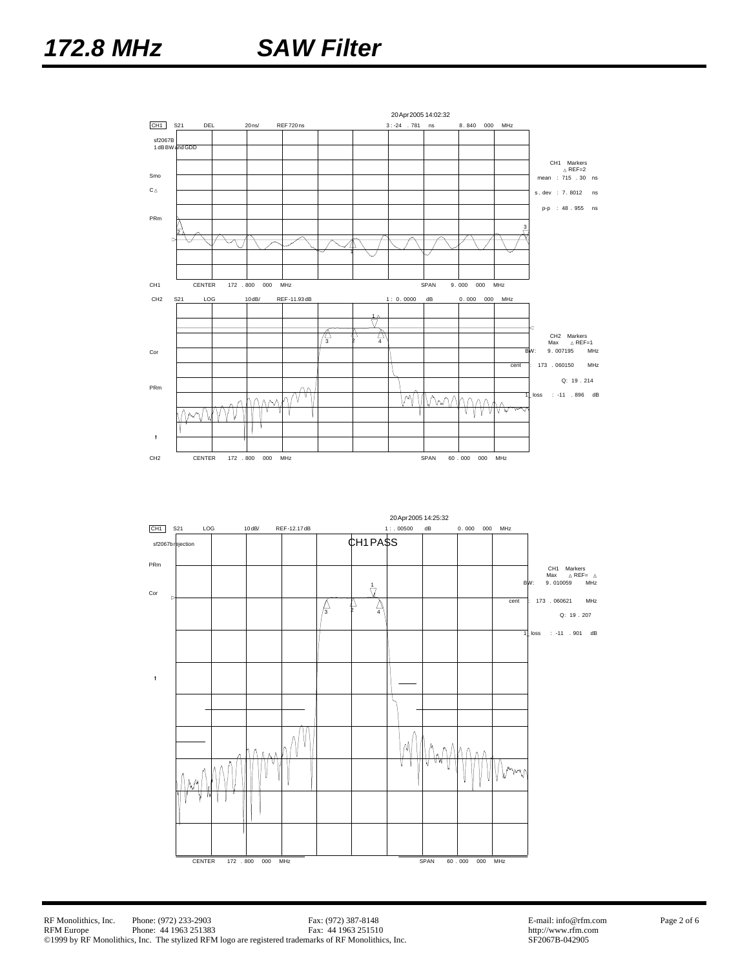## *172.8 MHz SAW Filter*



CENTER 172 . 800 000 MHz SPAN 60 . 000 000 MHz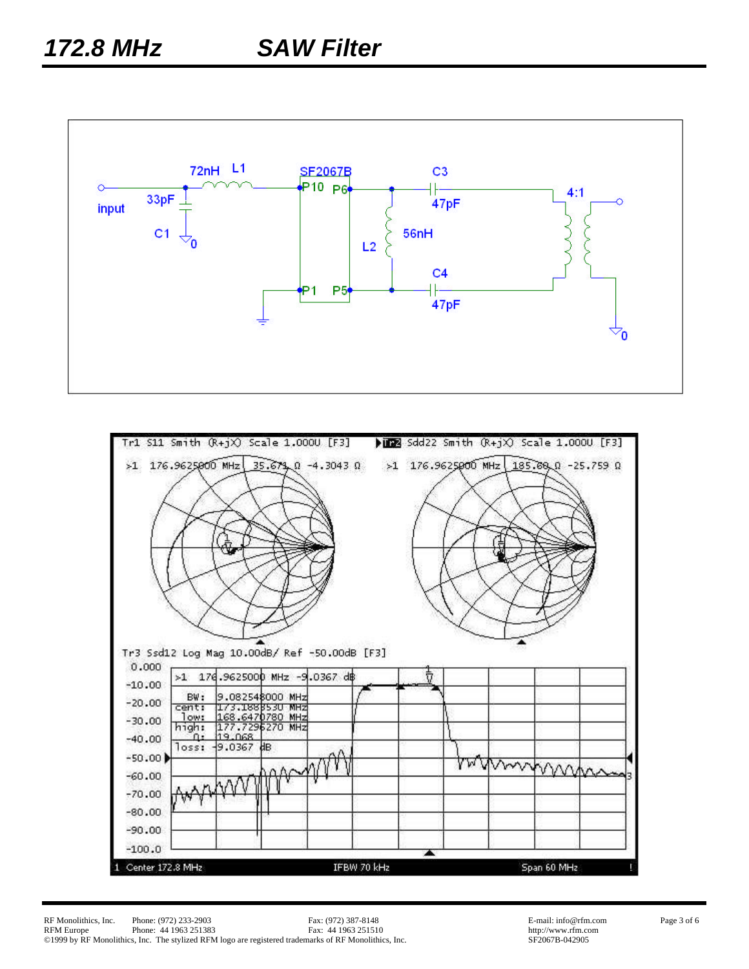

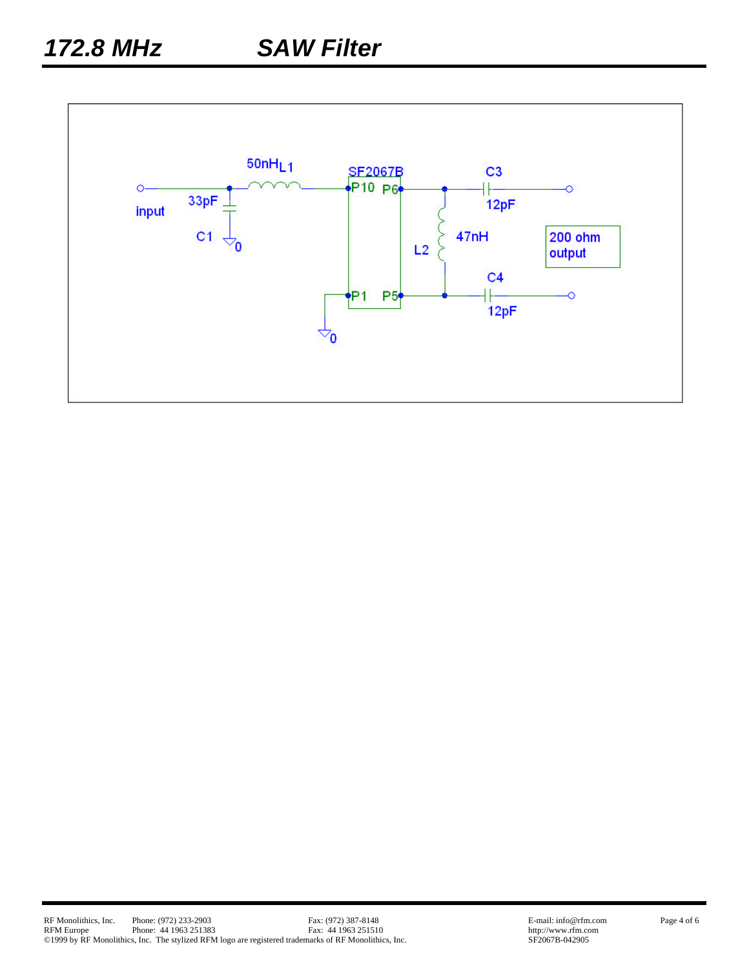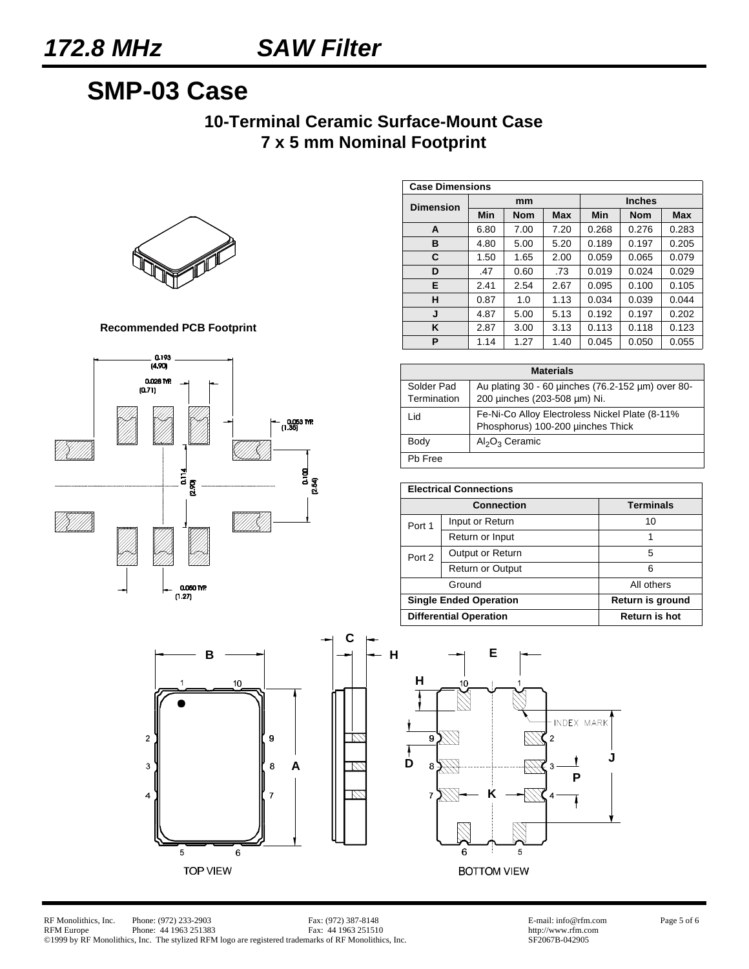## **SMP-03 Case**

### **10-Terminal Ceramic Surface-Mount Case 7 x 5 mm Nominal Footprint**



**Recommended PCB Footprint**



| <b>Case Dimensions</b> |      |            |            |               |            |            |
|------------------------|------|------------|------------|---------------|------------|------------|
| <b>Dimension</b>       | mm   |            |            | <b>Inches</b> |            |            |
|                        | Min  | <b>Nom</b> | <b>Max</b> | Min           | <b>Nom</b> | <b>Max</b> |
| A                      | 6.80 | 7.00       | 7.20       | 0.268         | 0.276      | 0.283      |
| в                      | 4.80 | 5.00       | 5.20       | 0.189         | 0.197      | 0.205      |
| C                      | 1.50 | 1.65       | 2.00       | 0.059         | 0.065      | 0.079      |
| D                      | .47  | 0.60       | .73        | 0.019         | 0.024      | 0.029      |
| E                      | 2.41 | 2.54       | 2.67       | 0.095         | 0.100      | 0.105      |
| н                      | 0.87 | 1.0        | 1.13       | 0.034         | 0.039      | 0.044      |
| J                      | 4.87 | 5.00       | 5.13       | 0.192         | 0.197      | 0.202      |
| ĸ                      | 2.87 | 3.00       | 3.13       | 0.113         | 0.118      | 0.123      |
| P                      | 1.14 | 1.27       | 1.40       | 0.045         | 0.050      | 0.055      |

| <b>Materials</b>          |                                                                                     |  |  |  |
|---------------------------|-------------------------------------------------------------------------------------|--|--|--|
| Solder Pad<br>Termination | Au plating 30 - 60 pinches (76.2-152 µm) over 80-<br>200 µinches (203-508 µm) Ni.   |  |  |  |
| Lid                       | Fe-Ni-Co Alloy Electroless Nickel Plate (8-11%<br>Phosphorus) 100-200 µinches Thick |  |  |  |
| Body                      | $Al_2O_3$ Ceramic                                                                   |  |  |  |
| Ph Free                   |                                                                                     |  |  |  |

| <b>Electrical Connections</b> |                               |                      |  |
|-------------------------------|-------------------------------|----------------------|--|
|                               | <b>Connection</b>             | <b>Terminals</b>     |  |
| Port 1                        | Input or Return               | 10                   |  |
|                               | Return or Input               |                      |  |
| Port 2                        | Output or Return              | 5                    |  |
|                               | <b>Return or Output</b>       | ี                    |  |
|                               | Ground                        | All others           |  |
|                               | <b>Single Ended Operation</b> | Return is ground     |  |
|                               | <b>Differential Operation</b> | <b>Return is hot</b> |  |



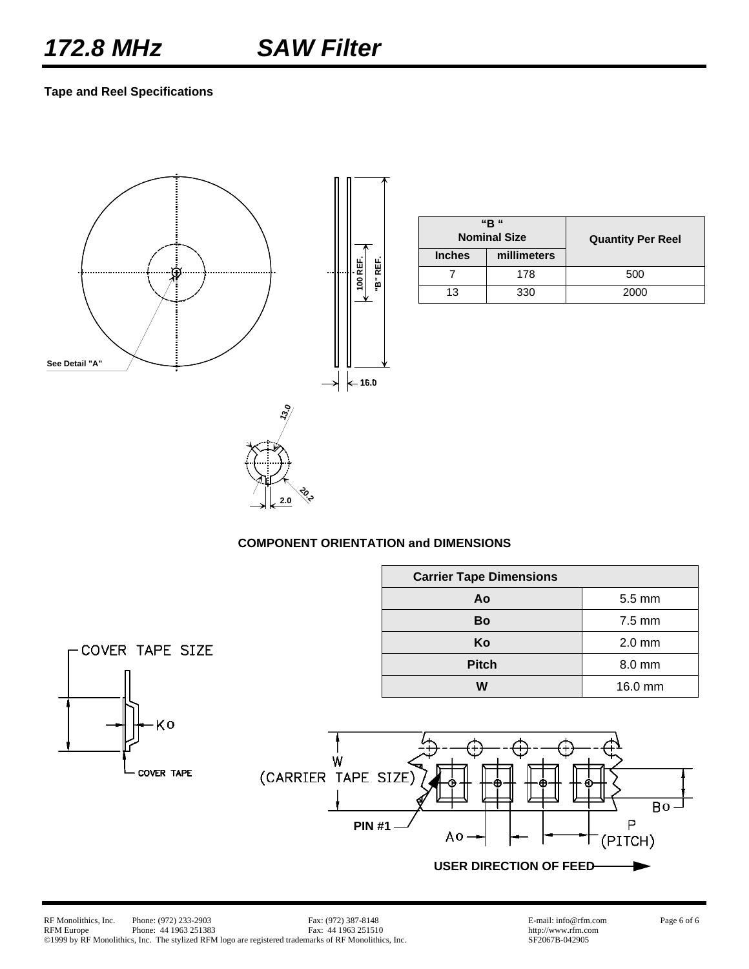### **Tape and Reel Specifications**



|               | "R "<br><b>Nominal Size</b> | <b>Quantity Per Reel</b> |  |
|---------------|-----------------------------|--------------------------|--|
| <b>Inches</b> | millimeters                 |                          |  |
|               | 178                         | 500                      |  |
| 13            | 330                         | 2000                     |  |

### **COMPONENT ORIENTATION and DIMENSIONS**

<u>रुँदे</u> **2.0**

|                         |                                          | <b>Carrier Tape Dimensions</b>                           |                             |
|-------------------------|------------------------------------------|----------------------------------------------------------|-----------------------------|
|                         |                                          | Ao                                                       | 5.5 mm                      |
|                         |                                          | <b>Bo</b>                                                | 7.5 mm                      |
| -COVER TAPE SIZE        |                                          | Ko                                                       | $2.0$ mm                    |
|                         |                                          | <b>Pitch</b>                                             | 8.0 mm                      |
|                         |                                          | W                                                        | 16.0 mm                     |
| Ko<br><b>COVER TAPE</b> | W<br>(CARRIER TAPE SIZE)<br><b>PIN#1</b> | Ð<br>$A_0 \rightarrow$<br><b>USER DIRECTION OF FEED-</b> | ω<br>$Bo -$<br>P<br>(PITCH) |